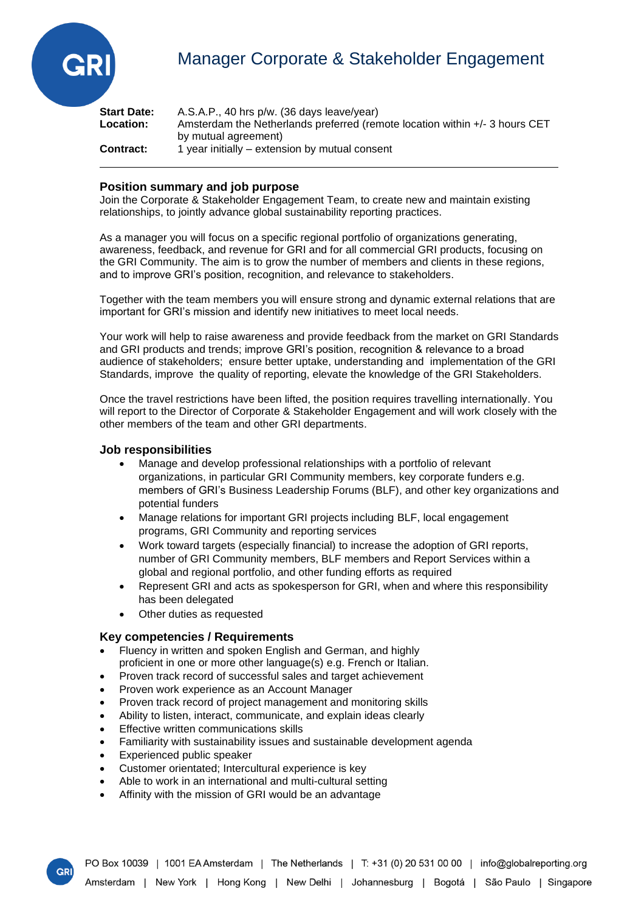

# Manager Corporate & Stakeholder Engagement

| <b>Start Date:</b> | A.S.A.P., 40 hrs p/w. (36 days leave/year)                                  |
|--------------------|-----------------------------------------------------------------------------|
| <b>Location:</b>   | Amsterdam the Netherlands preferred (remote location within +/- 3 hours CET |
| <b>Contract:</b>   | by mutual agreement)<br>1 year initially – extension by mutual consent      |

# **Position summary and job purpose**

Join the Corporate & Stakeholder Engagement Team, to create new and maintain existing relationships, to jointly advance global sustainability reporting practices.

As a manager you will focus on a specific regional portfolio of organizations generating, awareness, feedback, and revenue for GRI and for all commercial GRI products, focusing on the GRI Community. The aim is to grow the number of members and clients in these regions, and to improve GRI's position, recognition, and relevance to stakeholders.

Together with the team members you will ensure strong and dynamic external relations that are important for GRI's mission and identify new initiatives to meet local needs.

Your work will help to raise awareness and provide feedback from the market on GRI Standards and GRI products and trends; improve GRI's position, recognition & relevance to a broad audience of stakeholders; ensure better uptake, understanding and implementation of the GRI Standards, improve the quality of reporting, elevate the knowledge of the GRI Stakeholders.

Once the travel restrictions have been lifted, the position requires travelling internationally. You will report to the Director of Corporate & Stakeholder Engagement and will work closely with the other members of the team and other GRI departments.

## **Job responsibilities**

- Manage and develop professional relationships with a portfolio of relevant organizations, in particular GRI Community members, key corporate funders e.g. members of GRI's Business Leadership Forums (BLF), and other key organizations and potential funders
- Manage relations for important GRI projects including BLF, local engagement programs, GRI Community and reporting services
- Work toward targets (especially financial) to increase the adoption of GRI reports, number of GRI Community members, BLF members and Report Services within a global and regional portfolio, and other funding efforts as required
- Represent GRI and acts as spokesperson for GRI, when and where this responsibility has been delegated
- Other duties as requested

# **Key competencies / Requirements**

- Fluency in written and spoken English and German, and highly proficient in one or more other language(s) e.g. French or Italian.
- Proven track record of successful sales and target achievement
- Proven work experience as an Account Manager
- Proven track record of project management and monitoring skills
- Ability to listen, interact, communicate, and explain ideas clearly
- Effective written communications skills
- Familiarity with sustainability issues and sustainable development agenda
- Experienced public speaker
- Customer orientated; Intercultural experience is key
- Able to work in an international and multi-cultural setting
- Affinity with the mission of GRI would be an advantage